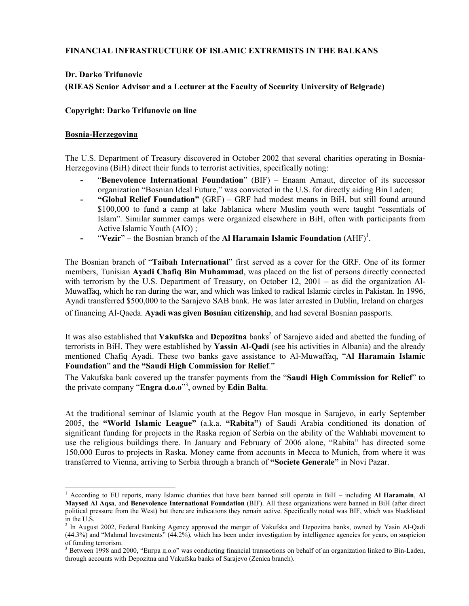# **FINANCIAL INFRASTRUCTURE OF ISLAMIC EXTREMISTS IN THE BALKANS**

## **Dr. Darko Trifunovic**

**(RIEAS Senior Advisor and a Lecturer at the Faculty of Security University of Belgrade)** 

## **Copyright: Darko Trifunovic on line**

## **Bosnia-Herzegovina**

1

The U.S. Department of Treasury discovered in October 2002 that several charities operating in Bosnia-Herzegovina (BiH) direct their funds to terrorist activities, specifically noting:

- **-** "**Benevolence International Foundation**" (BIF) Enaam Arnaut, director of its successor organization "Bosnian Ideal Future," was convicted in the U.S. for directly aiding Bin Laden;
- **- "Global Relief Foundation"** (GRF) GRF had modest means in BiH, but still found around \$100,000 to fund a camp at lake Jablanica where Muslim youth were taught "essentials of Islam". Similar summer camps were organized elsewhere in BiH, often with participants from Active Islamic Youth (AIO) ;
- **-** "**Vezir**" the Bosnian branch of the **Al Haramain Islamic Foundation** (AHF)<sup>[1](#page-0-0)</sup>.

The Bosnian branch of "**Taibah International**" first served as a cover for the GRF. One of its former members, Tunisian **Ayadi Chafiq Bin Muhammad**, was placed on the list of persons directly connected with terrorism by the U.S. Department of Treasury, on October 12, 2001 – as did the organization Al-Мuwaffaq, which he ran during the war, and which was linked to radical Islamic circles in Pakistan. In 1996, Ayadi transferred \$500,000 to the Sarajevo SAB bank. He was later arrested in Dublin, Ireland on charges

of financing Al-Qaeda. **Ayadi was given Bosnian citizenship**, and had several Bosnian passports.

It was also established that **Vakufska** and **Depozitna** banks<sup>2</sup> of Sarajevo aided and abetted the funding of terrorists in BiH. They were established by **Yassin Al-Qadi** (see his activities in Albania) and the already mentioned Chafiq Ayadi. These two banks gave assistance to Al-Muwaffaq, "**Al Haramain Islamic Foundation**" **and the "Saudi High Commission for Relief**."

The Vakufska bank covered up the transfer payments from the "**Saudi High Commission for Relief**" to the private company "**Engra d.o.o**" 3 [,](#page-0-2) owned by **Edin Balta**.

At the traditional seminar of Islamic youth at the Begov Han mosque in Sarajevo, in early September 2005, the **"World Islamic League"** (a.k.a. **"Rabita"**) of Saudi Arabia conditioned its donation of significant funding for projects in the Raska region of Serbia on the ability of the Wahhabi movement to use the religious buildings there. In January and February of 2006 alone, "Rabita" has directed some 150,000 Euros to projects in Raska. Money came from accounts in Mecca to Munich, from where it was transferred to Vienna, arriving to Serbia through a branch of **"Societe Generale"** in Novi Pazar.

<span id="page-0-0"></span><sup>1</sup> According to EU reports, many Islamic charities that have been banned still operate in BiH – including **Al Hаramain**, **Al Maysed Al Aqsa**, and **Benevolence International Foundation** (BIF). All these organizations were banned in BiH (after direct political pressure from the West) but there are indications they remain active. Specifically noted was BIF, which was blacklisted in the U.S.

<span id="page-0-1"></span><sup>&</sup>lt;sup>2</sup> In August 2002, Federal Banking Agency approved the merger of Vakufska and Depozitna banks, owned by Yasin Al-Qadi (44.3%) and "Mahmal Investments" (44.2%), which has been under investigation by intelligence agencies for years, on suspicion of funding terrorism.

<span id="page-0-2"></span><sup>&</sup>lt;sup>3</sup> Between 1998 and 2000, "Енгра д.о.о" was conducting financial transactions on behalf of an organization linked to Bin-Laden, through accounts with Depozitna and Vakufska banks of Sarajevo (Zenica branch).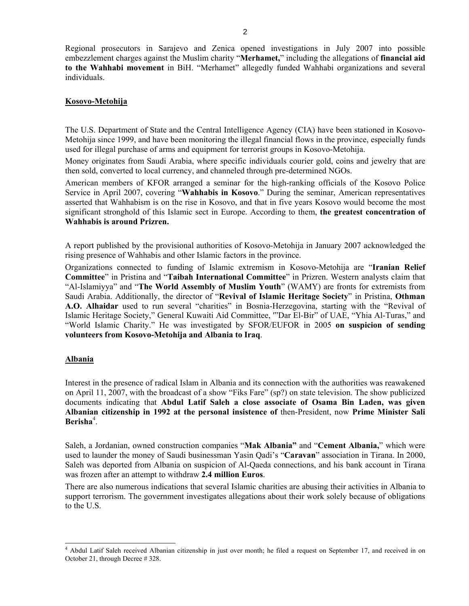Regional prosecutors in Sarajevo and Zenica opened investigations in July 2007 into possible embezzlement charges against the Muslim charity "**Merhamet,**" including the allegations of **financial aid to the Wahhabi movement** in BiH. "Merhamet" allegedly funded Wahhabi organizations and several individuals.

#### **Kosovo-Metohija**

The U.S. Department of State and the Central Intelligence Agency (CIA) have been stationed in Kosovo-Metohija since 1999, and have been monitoring the illegal financial flows in the province, especially funds used for illegal purchase of arms and equipment for terrorist groups in Kosovo-Metohija.

Money originates from Saudi Arabia, where specific individuals courier gold, coins and jewelry that are then sold, converted to local currency, and channeled through pre-determined NGOs.

American members of KFOR arranged a seminar for the high-ranking officials of the Kosovo Police Service in April 2007, covering "**Wahhabis in Kosovo**." During the seminar, American representatives asserted that Wahhabism is on the rise in Kosovo, and that in five years Kosovo would become the most significant stronghold of this Islamic sect in Europe. According to them, **the greatest concentration of Wahhabis is around Prizren.** 

A report published by the provisional authorities of Kosovo-Metohija in January 2007 acknowledged the rising presence of Wahhabis and other Islamic factors in the province.

Organizations connected to funding of Islamic extremism in Kosovo-Metohija are "**Iranian Relief Committeе**" in Pristina and "**Taibah International Committee**" in Prizren. Western analysts claim that "Al-Islamiyya" and "**The World Assembly of Muslim Youth**" (WAMY) are fronts for extremists from Saudi Arabia. Additionally, the director of "**Revival of Islamic Heritage Society**" in Pristina, **Othman A.O. Alhaidar** used to run several "charities" in Bosnia-Herzegovina, starting with the "Revival of Islamic Heritage Society," General Kuwaiti Aid Committee, '"Dar El-Bir" of UAE, "Yhia Al-Turas," and "World Islamic Charity." He was investigated by SFOR/EUFOR in 2005 **on suspicion of sending volunteers from Kosovo-Metohija and Albania to Iraq**.

#### **Albania**

1

Interest in the presence of radical Islam in Albania and its connection with the authorities was reawakened on April 11, 2007, with the broadcast of a show "Fiks Fare" (sp?) on state television. The show publicized documents indicating that **Abdul Latif Saleh a close associate of Osama Bin Laden, was given Albanian citizenship in 1992 at the personal insistence of** then-President, now **Prime Minister Sali**  Berisha<sup>4</sup>[.](#page-1-0)

Saleh, a Jordanian, owned construction companies "**Mak Albania"** and "**Cement Albania,**" which were used to launder the money of Saudi businessman Yasin Qadi's "**Caravan**" association in Tirana. In 2000, Saleh was deported from Albania on suspicion of Al-Qaeda connections, and his bank account in Tirana was frozen after an attempt to withdraw **2.4 million Euros**.

There are also numerous indications that several Islamic charities are abusing their activities in Albania to support terrorism. The government investigates allegations about their work solely because of obligations to the U.S.

<span id="page-1-0"></span><sup>&</sup>lt;sup>4</sup> Abdul Latif Saleh received Albanian citizenship in just over month; he filed a request on September 17, and received in on October 21, through Decree # 328.